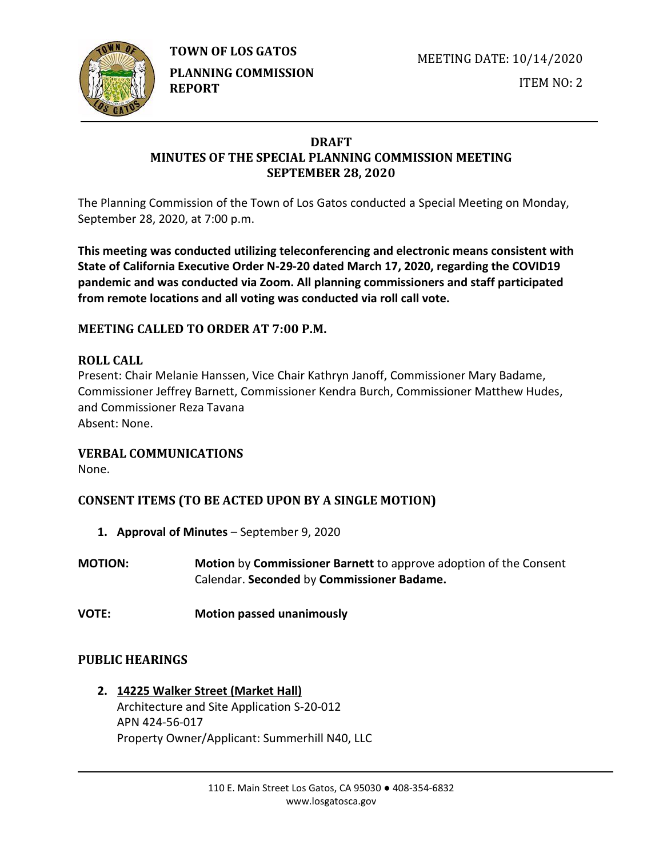

**TOWN OF LOS GATOS** 

**PLANNING COMMISSION REPORT**

MEETING DATE: 10/14/2020

ITEM NO: 2

# **DRAFT MINUTES OF THE SPECIAL PLANNING COMMISSION MEETING SEPTEMBER 28, 2020**

The Planning Commission of the Town of Los Gatos conducted a Special Meeting on Monday, September 28, 2020, at 7:00 p.m.

**This meeting was conducted utilizing teleconferencing and electronic means consistent with State of California Executive Order N-29-20 dated March 17, 2020, regarding the COVID19 pandemic and was conducted via Zoom. All planning commissioners and staff participated from remote locations and all voting was conducted via roll call vote.**

# **MEETING CALLED TO ORDER AT 7:00 P.M.**

# **ROLL CALL**

Present: Chair Melanie Hanssen, Vice Chair Kathryn Janoff, Commissioner Mary Badame, Commissioner Jeffrey Barnett, Commissioner Kendra Burch, Commissioner Matthew Hudes, and Commissioner Reza Tavana Absent: None.

### **VERBAL COMMUNICATIONS**

None.

# **CONSENT ITEMS (TO BE ACTED UPON BY A SINGLE MOTION)**

- **1. Approval of Minutes** September 9, 2020
- **MOTION: Motion** by **Commissioner Barnett** to approve adoption of the Consent Calendar. **Seconded** by **Commissioner Badame.**
- **VOTE: Motion passed unanimously**

# **PUBLIC HEARINGS**

**2. 14225 Walker Street (Market Hall)** Architecture and Site Application S-20-012 APN 424-56-017 Property Owner/Applicant: Summerhill N40, LLC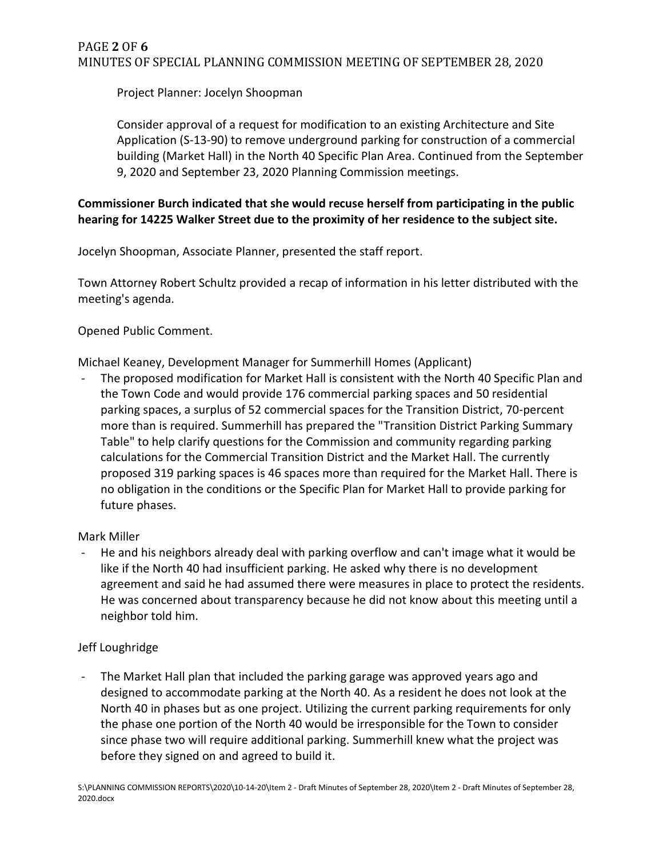Project Planner: Jocelyn Shoopman

Consider approval of a request for modification to an existing Architecture and Site Application (S-13-90) to remove underground parking for construction of a commercial building (Market Hall) in the North 40 Specific Plan Area. Continued from the September 9, 2020 and September 23, 2020 Planning Commission meetings.

## **Commissioner Burch indicated that she would recuse herself from participating in the public hearing for 14225 Walker Street due to the proximity of her residence to the subject site.**

Jocelyn Shoopman, Associate Planner, presented the staff report.

Town Attorney Robert Schultz provided a recap of information in his letter distributed with the meeting's agenda.

Opened Public Comment.

Michael Keaney, Development Manager for Summerhill Homes (Applicant)

The proposed modification for Market Hall is consistent with the North 40 Specific Plan and the Town Code and would provide 176 commercial parking spaces and 50 residential parking spaces, a surplus of 52 commercial spaces for the Transition District, 70-percent more than is required. Summerhill has prepared the "Transition District Parking Summary Table" to help clarify questions for the Commission and community regarding parking calculations for the Commercial Transition District and the Market Hall. The currently proposed 319 parking spaces is 46 spaces more than required for the Market Hall. There is no obligation in the conditions or the Specific Plan for Market Hall to provide parking for future phases.

### Mark Miller

He and his neighbors already deal with parking overflow and can't image what it would be like if the North 40 had insufficient parking. He asked why there is no development agreement and said he had assumed there were measures in place to protect the residents. He was concerned about transparency because he did not know about this meeting until a neighbor told him.

# Jeff Loughridge

The Market Hall plan that included the parking garage was approved years ago and designed to accommodate parking at the North 40. As a resident he does not look at the North 40 in phases but as one project. Utilizing the current parking requirements for only the phase one portion of the North 40 would be irresponsible for the Town to consider since phase two will require additional parking. Summerhill knew what the project was before they signed on and agreed to build it.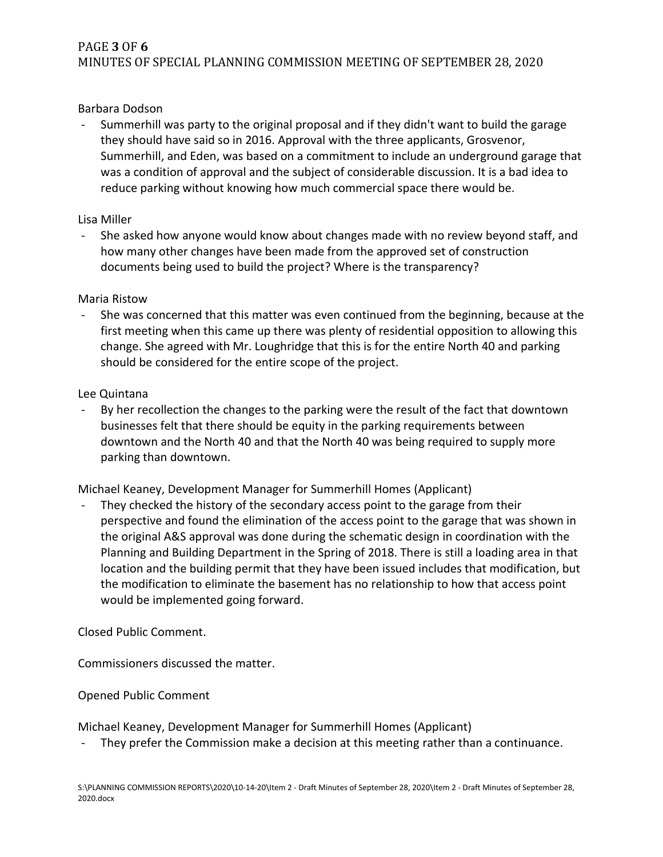# PAGE **3** OF **6** MINUTES OF SPECIAL PLANNING COMMISSION MEETING OF SEPTEMBER 28, 2020

#### Barbara Dodson

Summerhill was party to the original proposal and if they didn't want to build the garage they should have said so in 2016. Approval with the three applicants, Grosvenor, Summerhill, and Eden, was based on a commitment to include an underground garage that was a condition of approval and the subject of considerable discussion. It is a bad idea to reduce parking without knowing how much commercial space there would be.

#### Lisa Miller

- She asked how anyone would know about changes made with no review beyond staff, and how many other changes have been made from the approved set of construction documents being used to build the project? Where is the transparency?

#### Maria Ristow

She was concerned that this matter was even continued from the beginning, because at the first meeting when this came up there was plenty of residential opposition to allowing this change. She agreed with Mr. Loughridge that this is for the entire North 40 and parking should be considered for the entire scope of the project.

#### Lee Quintana

By her recollection the changes to the parking were the result of the fact that downtown businesses felt that there should be equity in the parking requirements between downtown and the North 40 and that the North 40 was being required to supply more parking than downtown.

Michael Keaney, Development Manager for Summerhill Homes (Applicant)

They checked the history of the secondary access point to the garage from their perspective and found the elimination of the access point to the garage that was shown in the original A&S approval was done during the schematic design in coordination with the Planning and Building Department in the Spring of 2018. There is still a loading area in that location and the building permit that they have been issued includes that modification, but the modification to eliminate the basement has no relationship to how that access point would be implemented going forward.

#### Closed Public Comment.

Commissioners discussed the matter.

#### Opened Public Comment

Michael Keaney, Development Manager for Summerhill Homes (Applicant)

They prefer the Commission make a decision at this meeting rather than a continuance.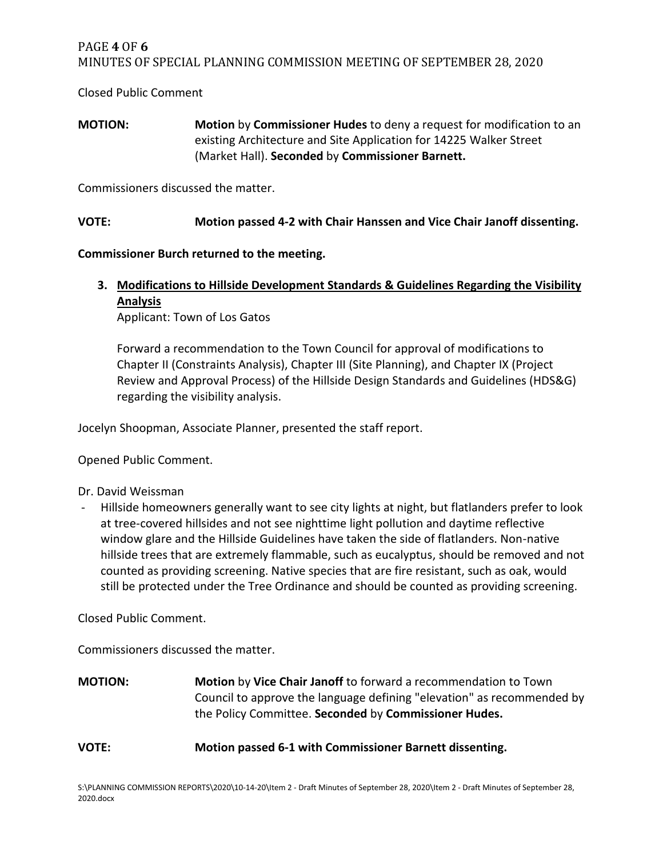### PAGE **4** OF **6** MINUTES OF SPECIAL PLANNING COMMISSION MEETING OF SEPTEMBER 28, 2020

Closed Public Comment

**MOTION: Motion** by **Commissioner Hudes** to deny a request for modification to an existing Architecture and Site Application for 14225 Walker Street (Market Hall). **Seconded** by **Commissioner Barnett.**

Commissioners discussed the matter.

**VOTE: Motion passed 4-2 with Chair Hanssen and Vice Chair Janoff dissenting.**

**Commissioner Burch returned to the meeting.** 

**3. Modifications to Hillside Development Standards & Guidelines Regarding the Visibility Analysis**

Applicant: Town of Los Gatos

Forward a recommendation to the Town Council for approval of modifications to Chapter II (Constraints Analysis), Chapter III (Site Planning), and Chapter IX (Project Review and Approval Process) of the Hillside Design Standards and Guidelines (HDS&G) regarding the visibility analysis.

Jocelyn Shoopman, Associate Planner, presented the staff report.

Opened Public Comment.

Dr. David Weissman

- Hillside homeowners generally want to see city lights at night, but flatlanders prefer to look at tree-covered hillsides and not see nighttime light pollution and daytime reflective window glare and the Hillside Guidelines have taken the side of flatlanders. Non-native hillside trees that are extremely flammable, such as eucalyptus, should be removed and not counted as providing screening. Native species that are fire resistant, such as oak, would still be protected under the Tree Ordinance and should be counted as providing screening.

Closed Public Comment.

Commissioners discussed the matter.

**MOTION: Motion** by **Vice Chair Janoff** to forward a recommendation to Town Council to approve the language defining "elevation" as recommended by the Policy Committee. **Seconded** by **Commissioner Hudes.**

**VOTE: Motion passed 6-1 with Commissioner Barnett dissenting.**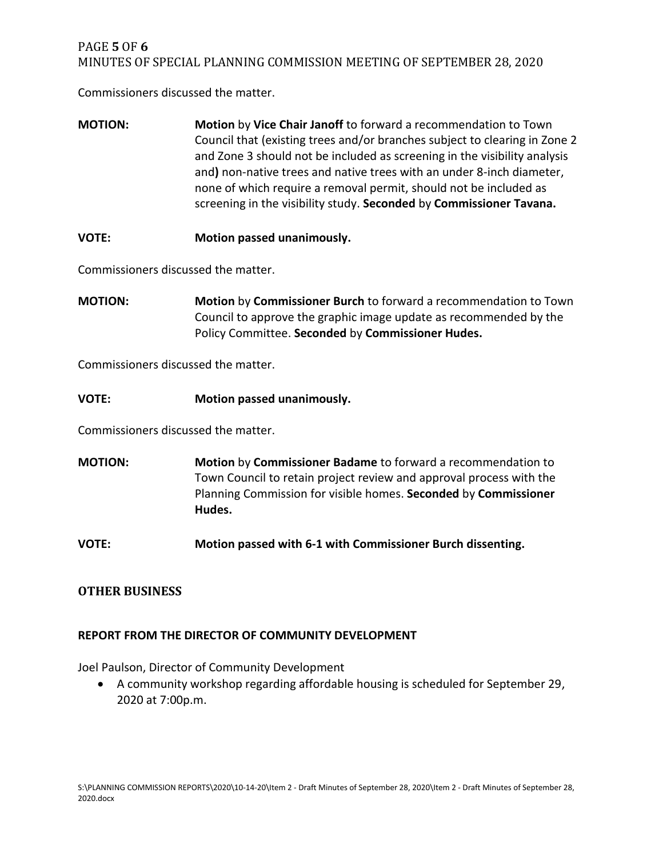### PAGE **5** OF **6** MINUTES OF SPECIAL PLANNING COMMISSION MEETING OF SEPTEMBER 28, 2020

Commissioners discussed the matter.

- **MOTION: Motion** by **Vice Chair Janoff** to forward a recommendation to Town Council that (existing trees and/or branches subject to clearing in Zone 2 and Zone 3 should not be included as screening in the visibility analysis and**)** non-native trees and native trees with an under 8-inch diameter, none of which require a removal permit, should not be included as screening in the visibility study. **Seconded** by **Commissioner Tavana.**
- **VOTE: Motion passed unanimously.**

Commissioners discussed the matter.

**MOTION: Motion** by **Commissioner Burch** to forward a recommendation to Town Council to approve the graphic image update as recommended by the Policy Committee. **Seconded** by **Commissioner Hudes.**

Commissioners discussed the matter.

**VOTE: Motion passed unanimously.**

Commissioners discussed the matter.

**MOTION: Motion** by **Commissioner Badame** to forward a recommendation to Town Council to retain project review and approval process with the Planning Commission for visible homes. **Seconded** by **Commissioner Hudes.**

**VOTE: Motion passed with 6-1 with Commissioner Burch dissenting.**

### **OTHER BUSINESS**

#### **REPORT FROM THE DIRECTOR OF COMMUNITY DEVELOPMENT**

Joel Paulson, Director of Community Development

• A community workshop regarding affordable housing is scheduled for September 29, 2020 at 7:00p.m.